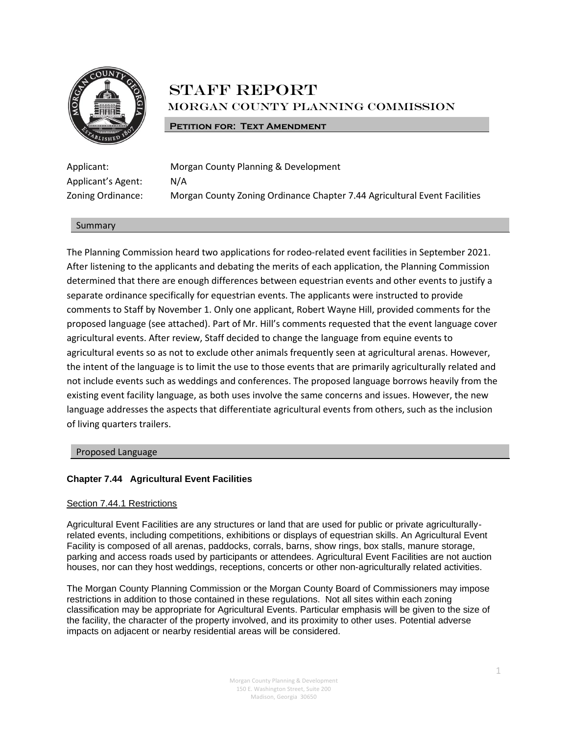

# STAFF REPORT Morgan County Planning Commission

# **PETITION FOR: TEXT AMENDMENT**

| Applicant:         |
|--------------------|
| Applicant's Agent: |
| Zoning Ordinance:  |

Morgan County Planning & Development  $N/A$ Morgan County Zoning Ordinance Chapter 7.44 Agricultural Event Facilities

# Summary

The Planning Commission heard two applications for rodeo-related event facilities in September 2021. After listening to the applicants and debating the merits of each application, the Planning Commission determined that there are enough differences between equestrian events and other events to justify a separate ordinance specifically for equestrian events. The applicants were instructed to provide comments to Staff by November 1. Only one applicant, Robert Wayne Hill, provided comments for the proposed language (see attached). Part of Mr. Hill's comments requested that the event language cover agricultural events. After review, Staff decided to change the language from equine events to agricultural events so as not to exclude other animals frequently seen at agricultural arenas. However, the intent of the language is to limit the use to those events that are primarily agriculturally related and not include events such as weddings and conferences. The proposed language borrows heavily from the existing event facility language, as both uses involve the same concerns and issues. However, the new language addresses the aspects that differentiate agricultural events from others, such as the inclusion of living quarters trailers.

Proposed Language

# **Chapter 7.44 Agricultural Event Facilities**

# Section 7.44.1 Restrictions

Agricultural Event Facilities are any structures or land that are used for public or private agriculturallyrelated events, including competitions, exhibitions or displays of equestrian skills. An Agricultural Event Facility is composed of all arenas, paddocks, corrals, barns, show rings, box stalls, manure storage, parking and access roads used by participants or attendees. Agricultural Event Facilities are not auction houses, nor can they host weddings, receptions, concerts or other non-agriculturally related activities.

The Morgan County Planning Commission or the Morgan County Board of Commissioners may impose restrictions in addition to those contained in these regulations. Not all sites within each zoning classification may be appropriate for Agricultural Events. Particular emphasis will be given to the size of the facility, the character of the property involved, and its proximity to other uses. Potential adverse impacts on adjacent or nearby residential areas will be considered.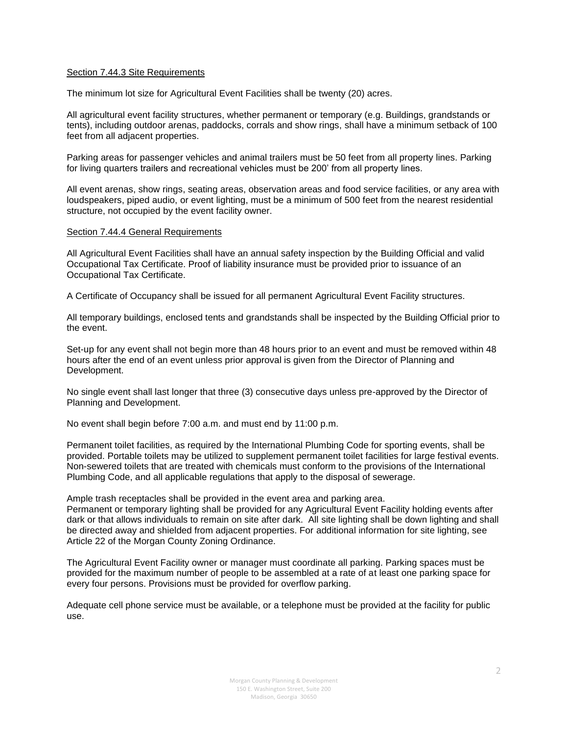## Section 7.44.3 Site Requirements

The minimum lot size for Agricultural Event Facilities shall be twenty (20) acres.

All agricultural event facility structures, whether permanent or temporary (e.g. Buildings, grandstands or tents), including outdoor arenas, paddocks, corrals and show rings, shall have a minimum setback of 100 feet from all adjacent properties.

Parking areas for passenger vehicles and animal trailers must be 50 feet from all property lines. Parking for living quarters trailers and recreational vehicles must be 200' from all property lines.

All event arenas, show rings, seating areas, observation areas and food service facilities, or any area with loudspeakers, piped audio, or event lighting, must be a minimum of 500 feet from the nearest residential structure, not occupied by the event facility owner.

## Section 7.44.4 General Requirements

All Agricultural Event Facilities shall have an annual safety inspection by the Building Official and valid Occupational Tax Certificate. Proof of liability insurance must be provided prior to issuance of an Occupational Tax Certificate.

A Certificate of Occupancy shall be issued for all permanent Agricultural Event Facility structures.

All temporary buildings, enclosed tents and grandstands shall be inspected by the Building Official prior to the event.

Set-up for any event shall not begin more than 48 hours prior to an event and must be removed within 48 hours after the end of an event unless prior approval is given from the Director of Planning and Development.

No single event shall last longer that three (3) consecutive days unless pre-approved by the Director of Planning and Development.

No event shall begin before 7:00 a.m. and must end by 11:00 p.m.

Permanent toilet facilities, as required by the International Plumbing Code for sporting events, shall be provided. Portable toilets may be utilized to supplement permanent toilet facilities for large festival events. Non-sewered toilets that are treated with chemicals must conform to the provisions of the International Plumbing Code, and all applicable regulations that apply to the disposal of sewerage.

Ample trash receptacles shall be provided in the event area and parking area.

Permanent or temporary lighting shall be provided for any Agricultural Event Facility holding events after dark or that allows individuals to remain on site after dark. All site lighting shall be down lighting and shall be directed away and shielded from adjacent properties. For additional information for site lighting, see Article 22 of the Morgan County Zoning Ordinance.

The Agricultural Event Facility owner or manager must coordinate all parking. Parking spaces must be provided for the maximum number of people to be assembled at a rate of at least one parking space for every four persons. Provisions must be provided for overflow parking.

Adequate cell phone service must be available, or a telephone must be provided at the facility for public use.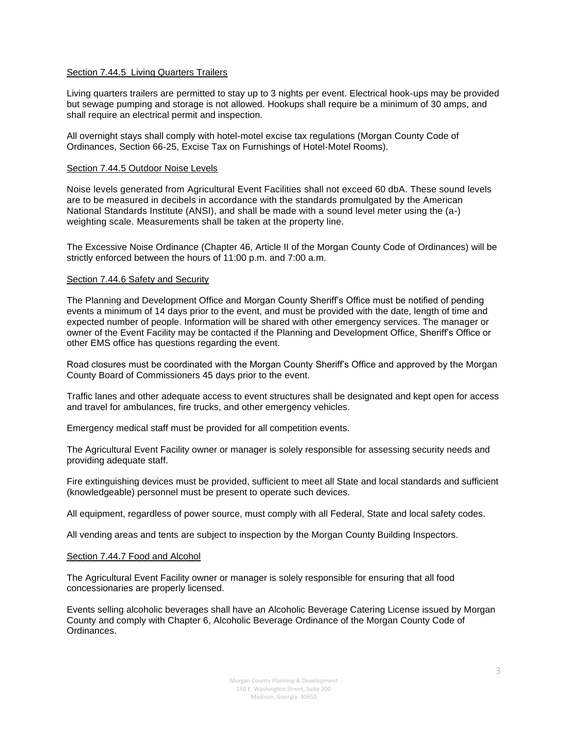# Section 7.44.5 Living Quarters Trailers

Living quarters trailers are permitted to stay up to 3 nights per event. Electrical hook-ups may be provided but sewage pumping and storage is not allowed. Hookups shall require be a minimum of 30 amps, and shall require an electrical permit and inspection.

All overnight stays shall comply with hotel-motel excise tax regulations (Morgan County Code of Ordinances, Section 66-25, Excise Tax on Furnishings of Hotel-Motel Rooms).

# Section 7.44.5 Outdoor Noise Levels

Noise levels generated from Agricultural Event Facilities shall not exceed 60 dbA. These sound levels are to be measured in decibels in accordance with the standards promulgated by the American National Standards Institute (ANSI), and shall be made with a sound level meter using the (a-) weighting scale. Measurements shall be taken at the property line.

The Excessive Noise Ordinance (Chapter 46, Article II of the Morgan County Code of Ordinances) will be strictly enforced between the hours of 11:00 p.m. and 7:00 a.m.

## Section 7.44.6 Safety and Security

The Planning and Development Office and Morgan County Sheriff's Office must be notified of pending events a minimum of 14 days prior to the event, and must be provided with the date, length of time and expected number of people. Information will be shared with other emergency services. The manager or owner of the Event Facility may be contacted if the Planning and Development Office, Sheriff's Office or other EMS office has questions regarding the event.

Road closures must be coordinated with the Morgan County Sheriff's Office and approved by the Morgan County Board of Commissioners 45 days prior to the event.

Traffic lanes and other adequate access to event structures shall be designated and kept open for access and travel for ambulances, fire trucks, and other emergency vehicles.

Emergency medical staff must be provided for all competition events.

The Agricultural Event Facility owner or manager is solely responsible for assessing security needs and providing adequate staff.

Fire extinguishing devices must be provided, sufficient to meet all State and local standards and sufficient (knowledgeable) personnel must be present to operate such devices.

All equipment, regardless of power source, must comply with all Federal, State and local safety codes.

All vending areas and tents are subject to inspection by the Morgan County Building Inspectors.

#### Section 7.44.7 Food and Alcohol

The Agricultural Event Facility owner or manager is solely responsible for ensuring that all food concessionaries are properly licensed.

Events selling alcoholic beverages shall have an Alcoholic Beverage Catering License issued by Morgan County and comply with Chapter 6, Alcoholic Beverage Ordinance of the Morgan County Code of Ordinances.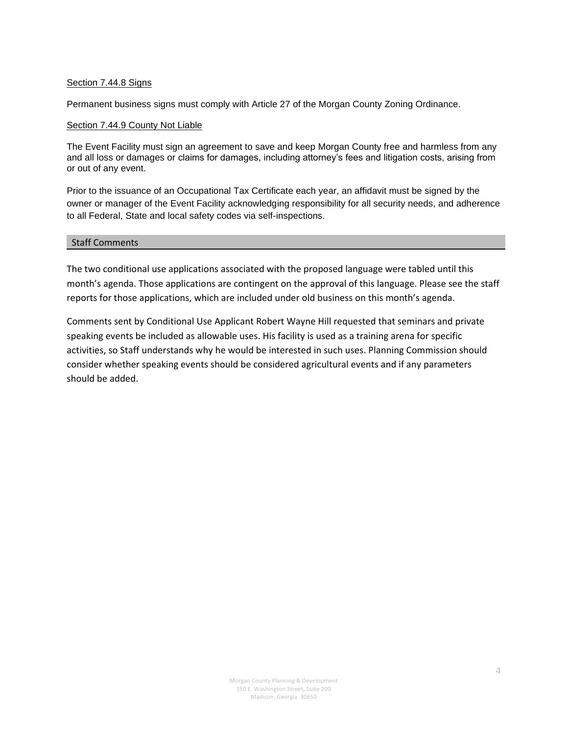# Section 7.44.8 Signs

Permanent business signs must comply with Article 27 of the Morgan County Zoning Ordinance.

# Section 7.44.9 County Not Liable

The Event Facility must sign an agreement to save and keep Morgan County free and harmless from any and all loss or damages or claims for damages, including attorney's fees and litigation costs, arising from or out of any event.

Prior to the issuance of an Occupational Tax Certificate each year, an affidavit must be signed by the owner or manager of the Event Facility acknowledging responsibility for all security needs, and adherence to all Federal, State and local safety codes via self-inspections.

# Staff Comments

The two conditional use applications associated with the proposed language were tabled until this month's agenda. Those applications are contingent on the approval of this language. Please see the staff reports for those applications, which are included under old business on this month's agenda.

Comments sent by Conditional Use Applicant Robert Wayne Hill requested that seminars and private speaking events be included as allowable uses. His facility is used as a training arena for specific activities, so Staff understands why he would be interested in such uses. Planning Commission should consider whether speaking events should be considered agricultural events and if any parameters should be added.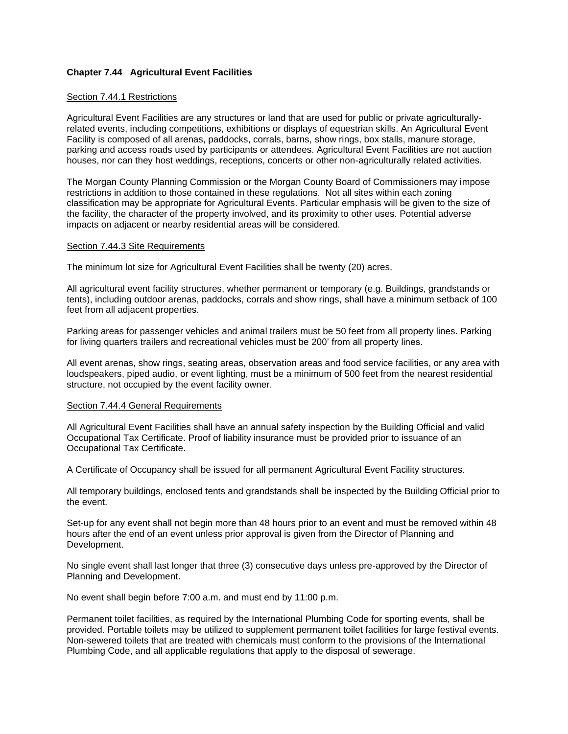# **Chapter 7.44 Agricultural Event Facilities**

## Section 7.44.1 Restrictions

Agricultural Event Facilities are any structures or land that are used for public or private agriculturallyrelated events, including competitions, exhibitions or displays of equestrian skills. An Agricultural Event Facility is composed of all arenas, paddocks, corrals, barns, show rings, box stalls, manure storage, parking and access roads used by participants or attendees. Agricultural Event Facilities are not auction houses, nor can they host weddings, receptions, concerts or other non-agriculturally related activities.

The Morgan County Planning Commission or the Morgan County Board of Commissioners may impose restrictions in addition to those contained in these regulations. Not all sites within each zoning classification may be appropriate for Agricultural Events. Particular emphasis will be given to the size of the facility, the character of the property involved, and its proximity to other uses. Potential adverse impacts on adjacent or nearby residential areas will be considered.

#### Section 7.44.3 Site Requirements

The minimum lot size for Agricultural Event Facilities shall be twenty (20) acres.

All agricultural event facility structures, whether permanent or temporary (e.g. Buildings, grandstands or tents), including outdoor arenas, paddocks, corrals and show rings, shall have a minimum setback of 100 feet from all adjacent properties.

Parking areas for passenger vehicles and animal trailers must be 50 feet from all property lines. Parking for living quarters trailers and recreational vehicles must be 200' from all property lines.

All event arenas, show rings, seating areas, observation areas and food service facilities, or any area with loudspeakers, piped audio, or event lighting, must be a minimum of 500 feet from the nearest residential structure, not occupied by the event facility owner.

#### Section 7.44.4 General Requirements

All Agricultural Event Facilities shall have an annual safety inspection by the Building Official and valid Occupational Tax Certificate. Proof of liability insurance must be provided prior to issuance of an Occupational Tax Certificate.

A Certificate of Occupancy shall be issued for all permanent Agricultural Event Facility structures.

All temporary buildings, enclosed tents and grandstands shall be inspected by the Building Official prior to the event.

Set-up for any event shall not begin more than 48 hours prior to an event and must be removed within 48 hours after the end of an event unless prior approval is given from the Director of Planning and Development.

No single event shall last longer that three (3) consecutive days unless pre-approved by the Director of Planning and Development.

No event shall begin before 7:00 a.m. and must end by 11:00 p.m.

Permanent toilet facilities, as required by the International Plumbing Code for sporting events, shall be provided. Portable toilets may be utilized to supplement permanent toilet facilities for large festival events. Non-sewered toilets that are treated with chemicals must conform to the provisions of the International Plumbing Code, and all applicable regulations that apply to the disposal of sewerage.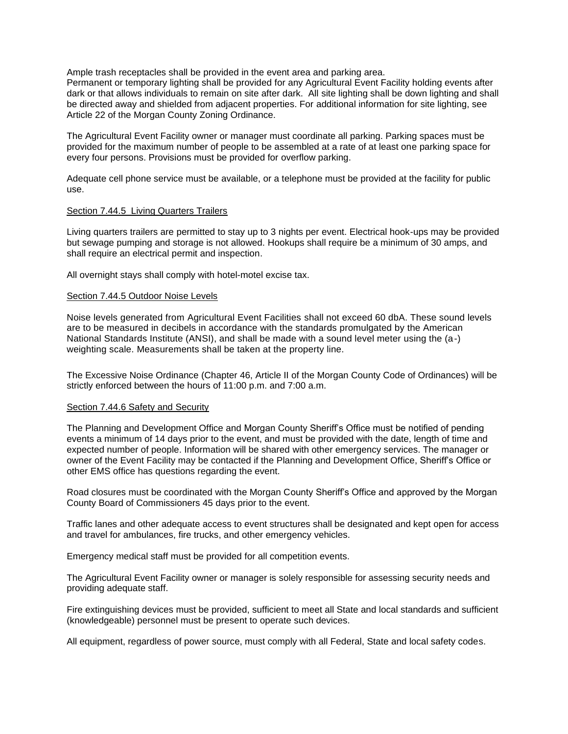Ample trash receptacles shall be provided in the event area and parking area.

Permanent or temporary lighting shall be provided for any Agricultural Event Facility holding events after dark or that allows individuals to remain on site after dark. All site lighting shall be down lighting and shall be directed away and shielded from adjacent properties. For additional information for site lighting, see Article 22 of the Morgan County Zoning Ordinance.

The Agricultural Event Facility owner or manager must coordinate all parking. Parking spaces must be provided for the maximum number of people to be assembled at a rate of at least one parking space for every four persons. Provisions must be provided for overflow parking.

Adequate cell phone service must be available, or a telephone must be provided at the facility for public use.

## Section 7.44.5 Living Quarters Trailers

Living quarters trailers are permitted to stay up to 3 nights per event. Electrical hook-ups may be provided but sewage pumping and storage is not allowed. Hookups shall require be a minimum of 30 amps, and shall require an electrical permit and inspection.

All overnight stays shall comply with hotel-motel excise tax.

## Section 7.44.5 Outdoor Noise Levels

Noise levels generated from Agricultural Event Facilities shall not exceed 60 dbA. These sound levels are to be measured in decibels in accordance with the standards promulgated by the American National Standards Institute (ANSI), and shall be made with a sound level meter using the (a-) weighting scale. Measurements shall be taken at the property line.

The Excessive Noise Ordinance (Chapter 46, Article II of the Morgan County Code of Ordinances) will be strictly enforced between the hours of 11:00 p.m. and 7:00 a.m.

#### Section 7.44.6 Safety and Security

The Planning and Development Office and Morgan County Sheriff's Office must be notified of pending events a minimum of 14 days prior to the event, and must be provided with the date, length of time and expected number of people. Information will be shared with other emergency services. The manager or owner of the Event Facility may be contacted if the Planning and Development Office, Sheriff's Office or other EMS office has questions regarding the event.

Road closures must be coordinated with the Morgan County Sheriff's Office and approved by the Morgan County Board of Commissioners 45 days prior to the event.

Traffic lanes and other adequate access to event structures shall be designated and kept open for access and travel for ambulances, fire trucks, and other emergency vehicles.

Emergency medical staff must be provided for all competition events.

The Agricultural Event Facility owner or manager is solely responsible for assessing security needs and providing adequate staff.

Fire extinguishing devices must be provided, sufficient to meet all State and local standards and sufficient (knowledgeable) personnel must be present to operate such devices.

All equipment, regardless of power source, must comply with all Federal, State and local safety codes.